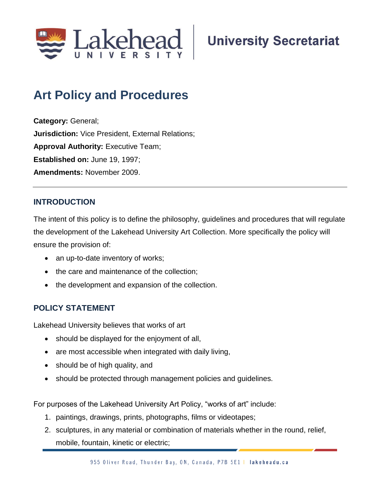

# **Art Policy and Procedures**

**Category:** General; **Jurisdiction:** Vice President, External Relations; **Approval Authority: Executive Team; Established on:** June 19, 1997; **Amendments:** November 2009.

# **INTRODUCTION**

The intent of this policy is to define the philosophy, guidelines and procedures that will regulate the development of the Lakehead University Art Collection. More specifically the policy will ensure the provision of:

- an up-to-date inventory of works;
- the care and maintenance of the collection;
- the development and expansion of the collection.

# **POLICY STATEMENT**

Lakehead University believes that works of art

- should be displayed for the enjoyment of all,
- are most accessible when integrated with daily living,
- should be of high quality, and
- should be protected through management policies and guidelines.

For purposes of the Lakehead University Art Policy, "works of art" include:

- 1. paintings, drawings, prints, photographs, films or videotapes;
- 2. sculptures, in any material or combination of materials whether in the round, relief, mobile, fountain, kinetic or electric;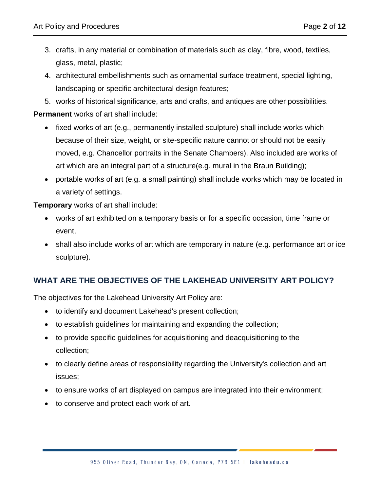- 3. crafts, in any material or combination of materials such as clay, fibre, wood, textiles, glass, metal, plastic;
- 4. architectural embellishments such as ornamental surface treatment, special lighting, landscaping or specific architectural design features;
- 5. works of historical significance, arts and crafts, and antiques are other possibilities.

**Permanent** works of art shall include:

- fixed works of art (e.g., permanently installed sculpture) shall include works which because of their size, weight, or site-specific nature cannot or should not be easily moved, e.g. Chancellor portraits in the Senate Chambers). Also included are works of art which are an integral part of a structure(e.g. mural in the Braun Building);
- portable works of art (e.g. a small painting) shall include works which may be located in a variety of settings.

**Temporary** works of art shall include:

- works of art exhibited on a temporary basis or for a specific occasion, time frame or event,
- shall also include works of art which are temporary in nature (e.g. performance art or ice sculpture).

# **WHAT ARE THE OBJECTIVES OF THE LAKEHEAD UNIVERSITY ART POLICY?**

The objectives for the Lakehead University Art Policy are:

- to identify and document Lakehead's present collection;
- to establish guidelines for maintaining and expanding the collection;
- to provide specific guidelines for acquisitioning and deacquisitioning to the collection;
- to clearly define areas of responsibility regarding the University's collection and art issues;
- to ensure works of art displayed on campus are integrated into their environment;
- to conserve and protect each work of art.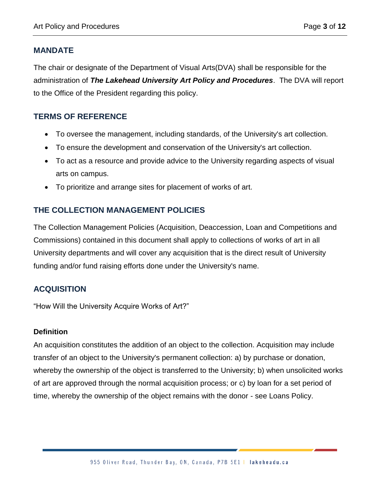#### **MANDATE**

The chair or designate of the Department of Visual Arts(DVA) shall be responsible for the administration of *The Lakehead University Art Policy and Procedures*. The DVA will report to the Office of the President regarding this policy.

## **TERMS OF REFERENCE**

- To oversee the management, including standards, of the University's art collection.
- To ensure the development and conservation of the University's art collection.
- To act as a resource and provide advice to the University regarding aspects of visual arts on campus.
- To prioritize and arrange sites for placement of works of art.

## **THE COLLECTION MANAGEMENT POLICIES**

The Collection Management Policies (Acquisition, Deaccession, Loan and Competitions and Commissions) contained in this document shall apply to collections of works of art in all University departments and will cover any acquisition that is the direct result of University funding and/or fund raising efforts done under the University's name.

# **ACQUISITION**

"How Will the University Acquire Works of Art?"

#### **Definition**

An acquisition constitutes the addition of an object to the collection. Acquisition may include transfer of an object to the University's permanent collection: a) by purchase or donation, whereby the ownership of the object is transferred to the University; b) when unsolicited works of art are approved through the normal acquisition process; or c) by loan for a set period of time, whereby the ownership of the object remains with the donor - see Loans Policy.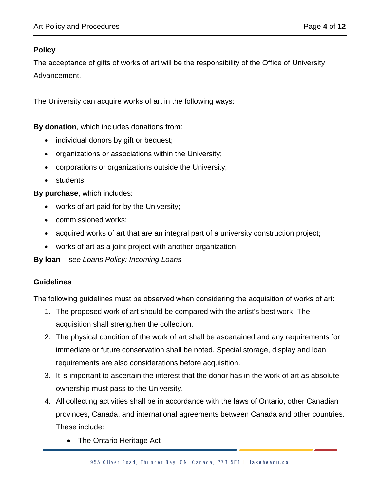### **Policy**

The acceptance of gifts of works of art will be the responsibility of the Office of University Advancement.

The University can acquire works of art in the following ways:

**By donation**, which includes donations from:

- individual donors by gift or bequest;
- organizations or associations within the University;
- corporations or organizations outside the University;
- students.

**By purchase**, which includes:

- works of art paid for by the University;
- commissioned works;
- acquired works of art that are an integral part of a university construction project;
- works of art as a joint project with another organization.

**By loan** – *see Loans Policy: Incoming Loans*

#### **Guidelines**

The following guidelines must be observed when considering the acquisition of works of art:

- 1. The proposed work of art should be compared with the artist's best work. The acquisition shall strengthen the collection.
- 2. The physical condition of the work of art shall be ascertained and any requirements for immediate or future conservation shall be noted. Special storage, display and loan requirements are also considerations before acquisition.
- 3. It is important to ascertain the interest that the donor has in the work of art as absolute ownership must pass to the University.
- 4. All collecting activities shall be in accordance with the laws of Ontario, other Canadian provinces, Canada, and international agreements between Canada and other countries. These include:
	- The Ontario Heritage Act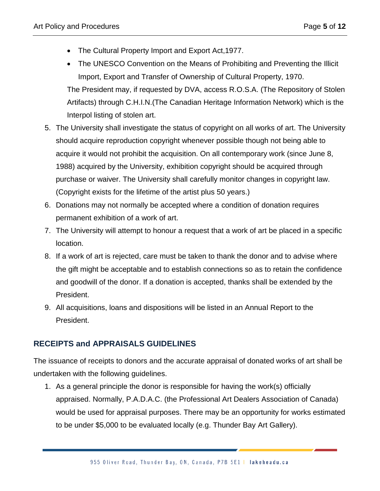- The Cultural Property Import and Export Act,1977.
- The UNESCO Convention on the Means of Prohibiting and Preventing the Illicit Import, Export and Transfer of Ownership of Cultural Property, 1970. The President may, if requested by DVA, access R.O.S.A. (The Repository of Stolen Artifacts) through C.H.I.N.(The Canadian Heritage Information Network) which is the Interpol listing of stolen art.
- 5. The University shall investigate the status of copyright on all works of art. The University should acquire reproduction copyright whenever possible though not being able to acquire it would not prohibit the acquisition. On all contemporary work (since June 8, 1988) acquired by the University, exhibition copyright should be acquired through purchase or waiver. The University shall carefully monitor changes in copyright law. (Copyright exists for the lifetime of the artist plus 50 years.)
- 6. Donations may not normally be accepted where a condition of donation requires permanent exhibition of a work of art.
- 7. The University will attempt to honour a request that a work of art be placed in a specific location.
- 8. If a work of art is rejected, care must be taken to thank the donor and to advise where the gift might be acceptable and to establish connections so as to retain the confidence and goodwill of the donor. If a donation is accepted, thanks shall be extended by the President.
- 9. All acquisitions, loans and dispositions will be listed in an Annual Report to the President.

# **RECEIPTS and APPRAISALS GUIDELINES**

The issuance of receipts to donors and the accurate appraisal of donated works of art shall be undertaken with the following guidelines.

1. As a general principle the donor is responsible for having the work(s) officially appraised. Normally, P.A.D.A.C. (the Professional Art Dealers Association of Canada) would be used for appraisal purposes. There may be an opportunity for works estimated to be under \$5,000 to be evaluated locally (e.g. Thunder Bay Art Gallery).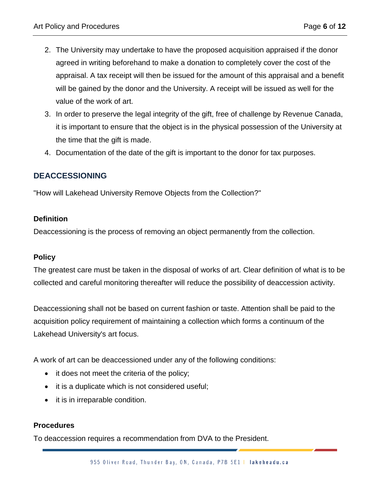- 2. The University may undertake to have the proposed acquisition appraised if the donor agreed in writing beforehand to make a donation to completely cover the cost of the appraisal. A tax receipt will then be issued for the amount of this appraisal and a benefit will be gained by the donor and the University. A receipt will be issued as well for the value of the work of art.
- 3. In order to preserve the legal integrity of the gift, free of challenge by Revenue Canada, it is important to ensure that the object is in the physical possession of the University at the time that the gift is made.
- 4. Documentation of the date of the gift is important to the donor for tax purposes.

#### **DEACCESSIONING**

"How will Lakehead University Remove Objects from the Collection?"

#### **Definition**

Deaccessioning is the process of removing an object permanently from the collection.

#### **Policy**

The greatest care must be taken in the disposal of works of art. Clear definition of what is to be collected and careful monitoring thereafter will reduce the possibility of deaccession activity.

Deaccessioning shall not be based on current fashion or taste. Attention shall be paid to the acquisition policy requirement of maintaining a collection which forms a continuum of the Lakehead University's art focus.

A work of art can be deaccessioned under any of the following conditions:

- it does not meet the criteria of the policy;
- it is a duplicate which is not considered useful;
- it is in irreparable condition.

#### **Procedures**

To deaccession requires a recommendation from DVA to the President.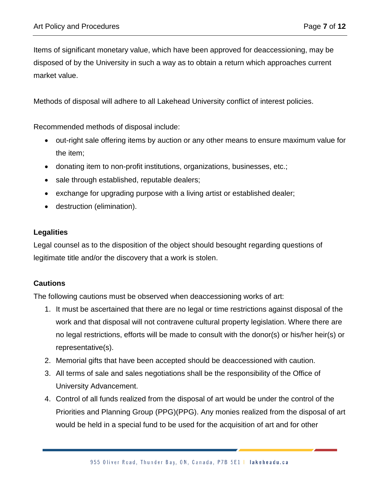Items of significant monetary value, which have been approved for deaccessioning, may be disposed of by the University in such a way as to obtain a return which approaches current market value.

Methods of disposal will adhere to all Lakehead University conflict of interest policies.

Recommended methods of disposal include:

- out-right sale offering items by auction or any other means to ensure maximum value for the item;
- donating item to non-profit institutions, organizations, businesses, etc.;
- sale through established, reputable dealers;
- exchange for upgrading purpose with a living artist or established dealer;
- destruction (elimination).

#### **Legalities**

Legal counsel as to the disposition of the object should besought regarding questions of legitimate title and/or the discovery that a work is stolen.

#### **Cautions**

The following cautions must be observed when deaccessioning works of art:

- 1. It must be ascertained that there are no legal or time restrictions against disposal of the work and that disposal will not contravene cultural property legislation. Where there are no legal restrictions, efforts will be made to consult with the donor(s) or his/her heir(s) or representative(s).
- 2. Memorial gifts that have been accepted should be deaccessioned with caution.
- 3. All terms of sale and sales negotiations shall be the responsibility of the Office of University Advancement.
- 4. Control of all funds realized from the disposal of art would be under the control of the Priorities and Planning Group (PPG)(PPG). Any monies realized from the disposal of art would be held in a special fund to be used for the acquisition of art and for other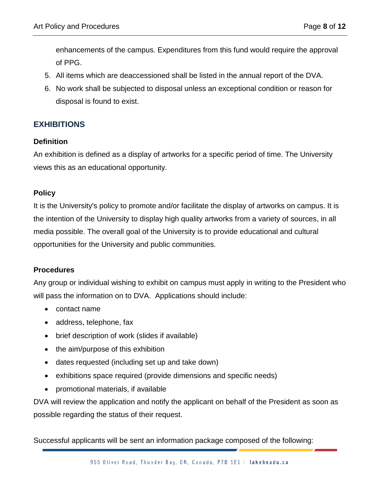enhancements of the campus. Expenditures from this fund would require the approval of PPG.

- 5. All items which are deaccessioned shall be listed in the annual report of the DVA.
- 6. No work shall be subjected to disposal unless an exceptional condition or reason for disposal is found to exist.

## **EXHIBITIONS**

#### **Definition**

An exhibition is defined as a display of artworks for a specific period of time. The University views this as an educational opportunity.

#### **Policy**

It is the University's policy to promote and/or facilitate the display of artworks on campus. It is the intention of the University to display high quality artworks from a variety of sources, in all media possible. The overall goal of the University is to provide educational and cultural opportunities for the University and public communities.

## **Procedures**

Any group or individual wishing to exhibit on campus must apply in writing to the President who will pass the information on to DVA. Applications should include:

- contact name
- address, telephone, fax
- brief description of work (slides if available)
- the aim/purpose of this exhibition
- dates requested (including set up and take down)
- exhibitions space required (provide dimensions and specific needs)
- promotional materials, if available

DVA will review the application and notify the applicant on behalf of the President as soon as possible regarding the status of their request.

Successful applicants will be sent an information package composed of the following: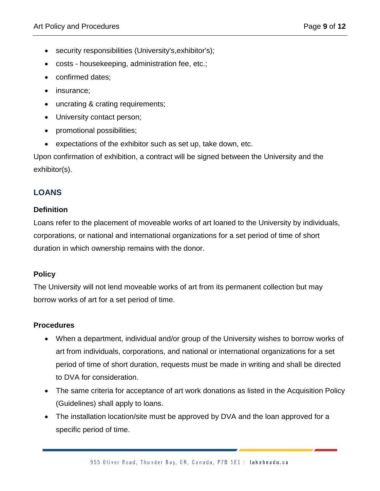- security responsibilities (University's,exhibitor's);
- costs housekeeping, administration fee, etc.;
- confirmed dates;
- insurance:
- uncrating & crating requirements;
- University contact person;
- promotional possibilities;
- expectations of the exhibitor such as set up, take down, etc.

Upon confirmation of exhibition, a contract will be signed between the University and the exhibitor(s).

## **LOANS**

#### **Definition**

Loans refer to the placement of moveable works of art loaned to the University by individuals, corporations, or national and international organizations for a set period of time of short duration in which ownership remains with the donor.

#### **Policy**

The University will not lend moveable works of art from its permanent collection but may borrow works of art for a set period of time.

#### **Procedures**

- When a department, individual and/or group of the University wishes to borrow works of art from individuals, corporations, and national or international organizations for a set period of time of short duration, requests must be made in writing and shall be directed to DVA for consideration.
- The same criteria for acceptance of art work donations as listed in the Acquisition Policy (Guidelines) shall apply to loans.
- The installation location/site must be approved by DVA and the loan approved for a specific period of time.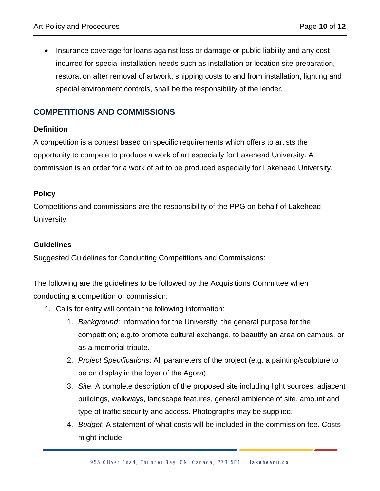• Insurance coverage for loans against loss or damage or public liability and any cost incurred for special installation needs such as installation or location site preparation, restoration after removal of artwork, shipping costs to and from installation, lighting and special environment controls, shall be the responsibility of the lender.

# **COMPETITIONS AND COMMISSIONS**

#### **Definition**

A competition is a contest based on specific requirements which offers to artists the opportunity to compete to produce a work of art especially for Lakehead University. A commission is an order for a work of art to be produced especially for Lakehead University.

#### **Policy**

Competitions and commissions are the responsibility of the PPG on behalf of Lakehead University.

#### **Guidelines**

Suggested Guidelines for Conducting Competitions and Commissions:

The following are the guidelines to be followed by the Acquisitions Committee when conducting a competition or commission:

- 1. Calls for entry will contain the following information:
	- 1. *Background*: Information for the University, the general purpose for the competition; e.g.to promote cultural exchange, to beautify an area on campus, or as a memorial tribute.
	- 2. *Project Specifications*: All parameters of the project (e.g. a painting/sculpture to be on display in the foyer of the Agora).
	- 3. *Site*: A complete description of the proposed site including light sources, adjacent buildings, walkways, landscape features, general ambience of site, amount and type of traffic security and access. Photographs may be supplied.
	- 4. *Budget*: A statement of what costs will be included in the commission fee. Costs might include: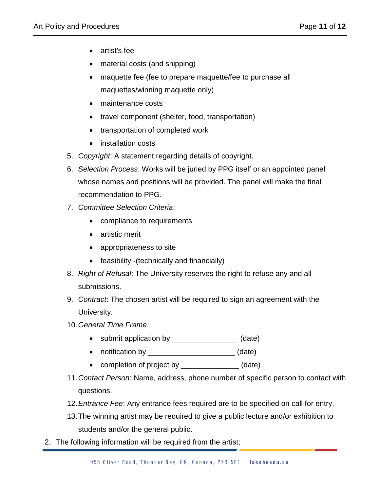- artist's fee
- material costs (and shipping)
- maquette fee (fee to prepare maquette/fee to purchase all maquettes/winning maquette only)
- maintenance costs
- travel component (shelter, food, transportation)
- transportation of completed work
- installation costs
- 5. *Copyright*: A statement regarding details of copyright.
- 6. *Selection Process*: Works will be juried by PPG itself or an appointed panel whose names and positions will be provided. The panel will make the final recommendation to PPG.
- 7. *Committee Selection Criteria*:
	- compliance to requirements
	- artistic merit
	- appropriateness to site
	- feasibility -(technically and financially)
- 8. *Right of Refusal*: The University reserves the right to refuse any and all submissions.
- 9. *Contract*: The chosen artist will be required to sign an agreement with the University.
- 10.*General Time Frame:*
	- submit application by \_\_\_\_\_\_\_\_\_\_\_\_\_\_\_\_ (date)
	- notification by **a** (date)
	- completion of project by (date)
- 11.*Contact Person*: Name, address, phone number of specific person to contact with questions.
- 12.*Entrance Fee*: Any entrance fees required are to be specified on call for entry.
- 13.The winning artist may be required to give a public lecture and/or exhibition to students and/or the general public.
- 2. The following information will be required from the artist;